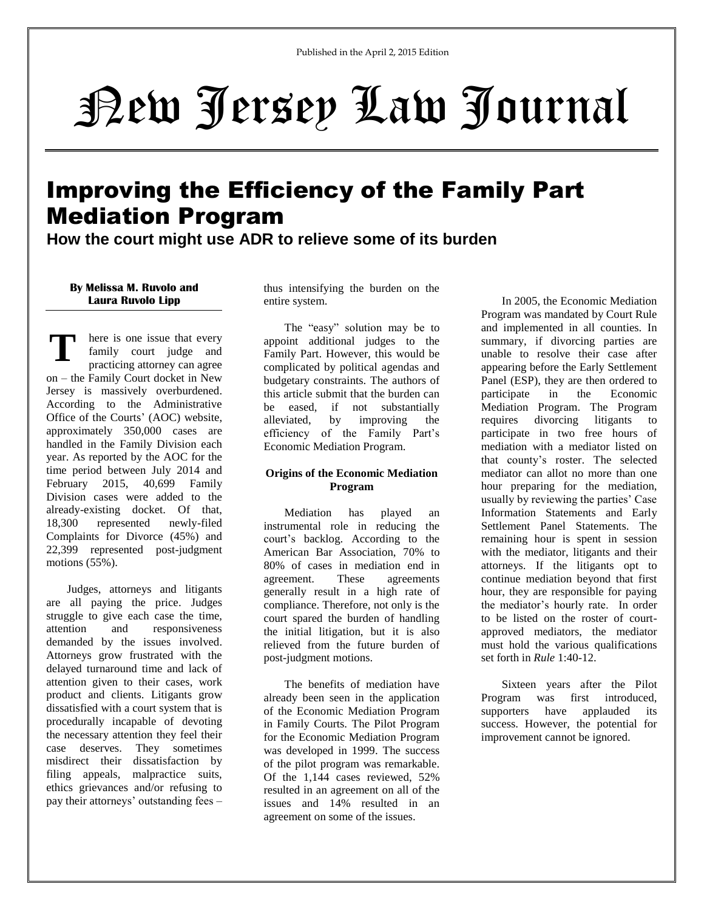# New Jersey Law Journal

## Improving the Efficiency of the Family Part Mediation Program

**How the court might use ADR to relieve some of its burden**

### **By Melissa M. Ruvolo and Laura Ruvolo Lipp**

**T** here is one issue that every family court judge and practicing attorney can agree on – the Family Court docket in New Jersey is massively overburdened. According to the Administrative Office of the Courts' (AOC) website, approximately 350,000 cases are handled in the Family Division each year. As reported by the AOC for the time period between July 2014 and February 2015, 40,699 Family Division cases were added to the already-existing docket. Of that, 18,300 represented newly-filed Complaints for Divorce (45%) and 22,399 represented post-judgment motions (55%).

Judges, attorneys and litigants are all paying the price. Judges struggle to give each case the time, attention and responsiveness demanded by the issues involved. Attorneys grow frustrated with the delayed turnaround time and lack of attention given to their cases, work product and clients. Litigants grow dissatisfied with a court system that is procedurally incapable of devoting the necessary attention they feel their case deserves. They sometimes misdirect their dissatisfaction by filing appeals, malpractice suits, ethics grievances and/or refusing to pay their attorneys' outstanding fees – thus intensifying the burden on the entire system.

The "easy" solution may be to appoint additional judges to the Family Part. However, this would be complicated by political agendas and budgetary constraints. The authors of this article submit that the burden can be eased, if not substantially alleviated, by improving the efficiency of the Family Part's Economic Mediation Program.

### **Origins of the Economic Mediation Program**

Mediation has played an instrumental role in reducing the court's backlog. According to the American Bar Association, 70% to 80% of cases in mediation end in agreement. These agreements generally result in a high rate of compliance. Therefore, not only is the court spared the burden of handling the initial litigation, but it is also relieved from the future burden of post-judgment motions.

The benefits of mediation have already been seen in the application of the Economic Mediation Program in Family Courts. The Pilot Program for the Economic Mediation Program was developed in 1999. The success of the pilot program was remarkable. Of the 1,144 cases reviewed, 52% resulted in an agreement on all of the issues and 14% resulted in an agreement on some of the issues.

In 2005, the Economic Mediation Program was mandated by Court Rule and implemented in all counties. In summary, if divorcing parties are unable to resolve their case after appearing before the Early Settlement Panel (ESP), they are then ordered to participate in the Economic Mediation Program. The Program requires divorcing litigants to participate in two free hours of mediation with a mediator listed on that county's roster. The selected mediator can allot no more than one hour preparing for the mediation, usually by reviewing the parties' Case Information Statements and Early Settlement Panel Statements. The remaining hour is spent in session with the mediator, litigants and their attorneys. If the litigants opt to continue mediation beyond that first hour, they are responsible for paying the mediator's hourly rate. In order to be listed on the roster of courtapproved mediators, the mediator must hold the various qualifications set forth in *Rule* 1:40-12.

Sixteen years after the Pilot Program was first introduced, supporters have applauded its success. However, the potential for improvement cannot be ignored.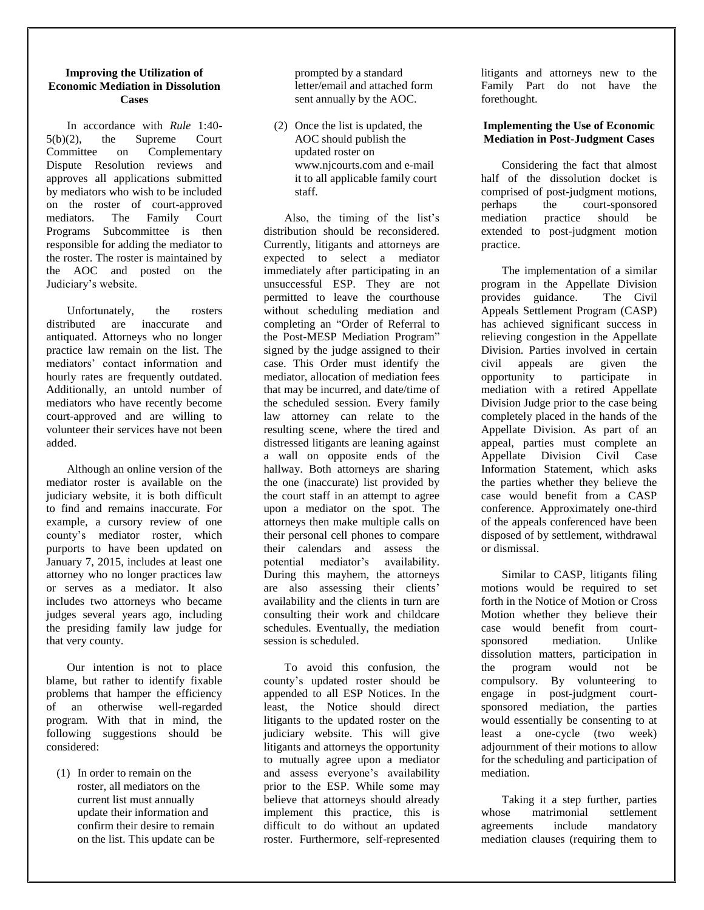#### **Improving the Utilization of Economic Mediation in Dissolution Cases**

In accordance with *Rule* 1:40- 5(b)(2), the Supreme Court Committee on Complementary Dispute Resolution reviews and approves all applications submitted by mediators who wish to be included on the roster of court-approved mediators. The Family Court Programs Subcommittee is then responsible for adding the mediator to the roster. The roster is maintained by the AOC and posted on the Judiciary's website.

Unfortunately, the rosters distributed are inaccurate and antiquated. Attorneys who no longer practice law remain on the list. The mediators' contact information and hourly rates are frequently outdated. Additionally, an untold number of mediators who have recently become court-approved and are willing to volunteer their services have not been added.

Although an online version of the mediator roster is available on the judiciary website, it is both difficult to find and remains inaccurate. For example, a cursory review of one county's mediator roster, which purports to have been updated on January 7, 2015, includes at least one attorney who no longer practices law or serves as a mediator. It also includes two attorneys who became judges several years ago, including the presiding family law judge for that very county.

Our intention is not to place blame, but rather to identify fixable problems that hamper the efficiency of an otherwise well-regarded program. With that in mind, the following suggestions should be considered:

(1) In order to remain on the roster, all mediators on the current list must annually update their information and confirm their desire to remain on the list. This update can be prompted by a standard letter/email and attached form sent annually by the AOC.

(2) Once the list is updated, the AOC should publish the updated roster on www.njcourts.com and e-mail it to all applicable family court staff.

Also, the timing of the list's distribution should be reconsidered. Currently, litigants and attorneys are expected to select a mediator immediately after participating in an unsuccessful ESP. They are not permitted to leave the courthouse without scheduling mediation and completing an "Order of Referral to the Post-MESP Mediation Program" signed by the judge assigned to their case. This Order must identify the mediator, allocation of mediation fees that may be incurred, and date/time of the scheduled session. Every family law attorney can relate to the resulting scene, where the tired and distressed litigants are leaning against a wall on opposite ends of the hallway. Both attorneys are sharing the one (inaccurate) list provided by the court staff in an attempt to agree upon a mediator on the spot. The attorneys then make multiple calls on their personal cell phones to compare their calendars and assess the potential mediator's availability. During this mayhem, the attorneys are also assessing their clients' availability and the clients in turn are consulting their work and childcare schedules. Eventually, the mediation session is scheduled.

To avoid this confusion, the county's updated roster should be appended to all ESP Notices. In the least, the Notice should direct litigants to the updated roster on the judiciary website. This will give litigants and attorneys the opportunity to mutually agree upon a mediator and assess everyone's availability prior to the ESP. While some may believe that attorneys should already implement this practice, this is difficult to do without an updated roster. Furthermore, self-represented litigants and attorneys new to the Family Part do not have the forethought.

### **Implementing the Use of Economic Mediation in Post-Judgment Cases**

Considering the fact that almost half of the dissolution docket is comprised of post-judgment motions, perhaps the court-sponsored mediation practice should be extended to post-judgment motion practice.

The implementation of a similar program in the Appellate Division provides guidance. The Civil Appeals Settlement Program (CASP) has achieved significant success in relieving congestion in the Appellate Division. Parties involved in certain civil appeals are given the opportunity to participate in mediation with a retired Appellate Division Judge prior to the case being completely placed in the hands of the Appellate Division. As part of an appeal, parties must complete an Appellate Division Civil Case Information Statement, which asks the parties whether they believe the case would benefit from a CASP conference. Approximately one-third of the appeals conferenced have been disposed of by settlement, withdrawal or dismissal.

Similar to CASP, litigants filing motions would be required to set forth in the Notice of Motion or Cross Motion whether they believe their case would benefit from courtsponsored mediation. Unlike dissolution matters, participation in the program would not be compulsory. By volunteering to engage in post-judgment courtsponsored mediation, the parties would essentially be consenting to at least a one-cycle (two week) adjournment of their motions to allow for the scheduling and participation of mediation.

Taking it a step further, parties whose matrimonial settlement agreements include mandatory mediation clauses (requiring them to